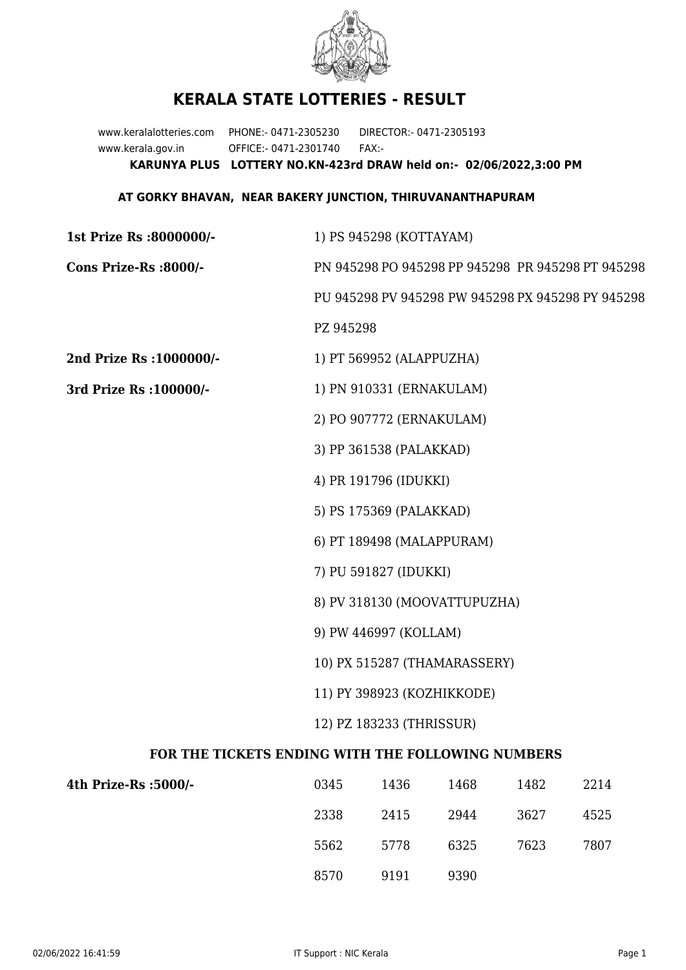

## **KERALA STATE LOTTERIES - RESULT**

www.keralalotteries.com PHONE:- 0471-2305230 DIRECTOR:- 0471-2305193 www.kerala.gov.in OFFICE:- 0471-2301740 FAX:- **KARUNYA PLUS LOTTERY NO.KN-423rd DRAW held on:- 02/06/2022,3:00 PM**

## **AT GORKY BHAVAN, NEAR BAKERY JUNCTION, THIRUVANANTHAPURAM**

| 1st Prize Rs :8000000/-                           |                              | 1) PS 945298 (KOTTAYAM)   |                              |      |                                                   |  |  |
|---------------------------------------------------|------------------------------|---------------------------|------------------------------|------|---------------------------------------------------|--|--|
| Cons Prize-Rs :8000/-                             |                              |                           |                              |      | PN 945298 PO 945298 PP 945298 PR 945298 PT 945298 |  |  |
|                                                   |                              |                           |                              |      | PU 945298 PV 945298 PW 945298 PX 945298 PY 945298 |  |  |
|                                                   | PZ 945298                    |                           |                              |      |                                                   |  |  |
| 2nd Prize Rs : 1000000/-                          |                              | 1) PT 569952 (ALAPPUZHA)  |                              |      |                                                   |  |  |
| 3rd Prize Rs : 100000/-                           | 1) PN 910331 (ERNAKULAM)     |                           |                              |      |                                                   |  |  |
|                                                   |                              | 2) PO 907772 (ERNAKULAM)  |                              |      |                                                   |  |  |
|                                                   |                              | 3) PP 361538 (PALAKKAD)   |                              |      |                                                   |  |  |
|                                                   |                              | 4) PR 191796 (IDUKKI)     |                              |      |                                                   |  |  |
|                                                   |                              | 5) PS 175369 (PALAKKAD)   |                              |      |                                                   |  |  |
|                                                   |                              | 6) PT 189498 (MALAPPURAM) |                              |      |                                                   |  |  |
|                                                   |                              | 7) PU 591827 (IDUKKI)     |                              |      |                                                   |  |  |
|                                                   |                              |                           | 8) PV 318130 (MOOVATTUPUZHA) |      |                                                   |  |  |
|                                                   | 9) PW 446997 (KOLLAM)        |                           |                              |      |                                                   |  |  |
|                                                   | 10) PX 515287 (THAMARASSERY) |                           |                              |      |                                                   |  |  |
|                                                   | 11) PY 398923 (KOZHIKKODE)   |                           |                              |      |                                                   |  |  |
|                                                   | 12) PZ 183233 (THRISSUR)     |                           |                              |      |                                                   |  |  |
| FOR THE TICKETS ENDING WITH THE FOLLOWING NUMBERS |                              |                           |                              |      |                                                   |  |  |
| 4th Prize-Rs :5000/-                              | 0345                         | 1436                      | 1468                         | 1482 | 2214                                              |  |  |

| 4th Prize-Rs :5000/- | 0345 | 1436 | 1468 | 1482 | 2214 |
|----------------------|------|------|------|------|------|
|                      | 2338 | 2415 | 2944 | 3627 | 4525 |
|                      | 5562 | 5778 | 6325 | 7623 | 7807 |
|                      | 8570 | 9191 | 9390 |      |      |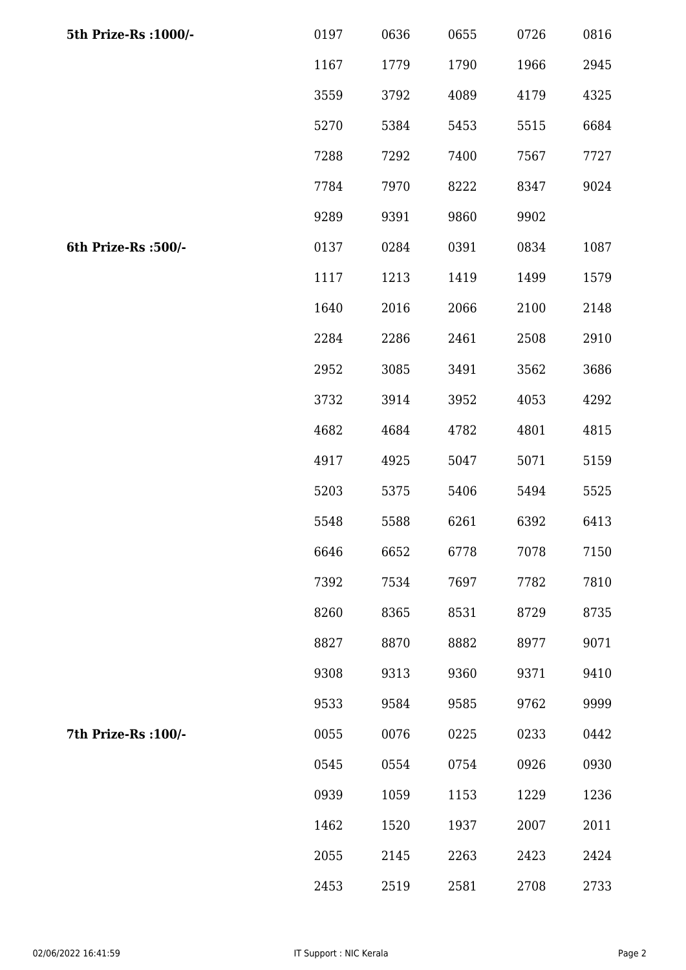| 5th Prize-Rs : 1000/- | 0197 | 0636 | 0655 | 0726 | 0816 |
|-----------------------|------|------|------|------|------|
|                       | 1167 | 1779 | 1790 | 1966 | 2945 |
|                       | 3559 | 3792 | 4089 | 4179 | 4325 |
|                       | 5270 | 5384 | 5453 | 5515 | 6684 |
|                       | 7288 | 7292 | 7400 | 7567 | 7727 |
|                       | 7784 | 7970 | 8222 | 8347 | 9024 |
|                       | 9289 | 9391 | 9860 | 9902 |      |
| 6th Prize-Rs :500/-   | 0137 | 0284 | 0391 | 0834 | 1087 |
|                       | 1117 | 1213 | 1419 | 1499 | 1579 |
|                       | 1640 | 2016 | 2066 | 2100 | 2148 |
|                       | 2284 | 2286 | 2461 | 2508 | 2910 |
|                       | 2952 | 3085 | 3491 | 3562 | 3686 |
|                       | 3732 | 3914 | 3952 | 4053 | 4292 |
|                       | 4682 | 4684 | 4782 | 4801 | 4815 |
|                       | 4917 | 4925 | 5047 | 5071 | 5159 |
|                       | 5203 | 5375 | 5406 | 5494 | 5525 |
|                       | 5548 | 5588 | 6261 | 6392 | 6413 |
|                       | 6646 | 6652 | 6778 | 7078 | 7150 |
|                       | 7392 | 7534 | 7697 | 7782 | 7810 |
|                       | 8260 | 8365 | 8531 | 8729 | 8735 |
|                       | 8827 | 8870 | 8882 | 8977 | 9071 |
|                       | 9308 | 9313 | 9360 | 9371 | 9410 |
|                       | 9533 | 9584 | 9585 | 9762 | 9999 |
| 7th Prize-Rs : 100/-  | 0055 | 0076 | 0225 | 0233 | 0442 |
|                       | 0545 | 0554 | 0754 | 0926 | 0930 |
|                       | 0939 | 1059 | 1153 | 1229 | 1236 |
|                       | 1462 | 1520 | 1937 | 2007 | 2011 |
|                       | 2055 | 2145 | 2263 | 2423 | 2424 |
|                       | 2453 | 2519 | 2581 | 2708 | 2733 |